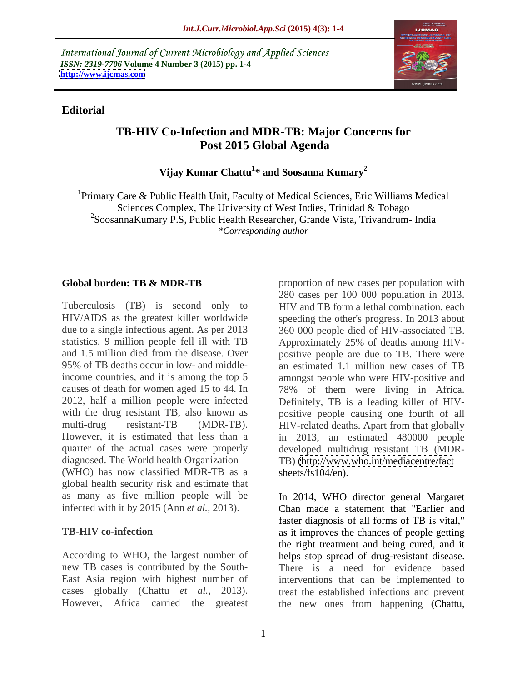International Journal of Current Microbiology and Applied Sciences *ISSN: 2319-7706* **Volume 4 Number 3 (2015) pp. 1-4 <http://www.ijcmas.com>**



### **Editorial**

# **TB-HIV Co-Infection and MDR-TB: Major Concerns for Post 2015 Global Agenda**

**Vijay Kumar Chattu<sup>1</sup> \* and Soosanna Kumary2**

1Primary Care & Public Health Unit, Faculty of Medical Sciences, Eric Williams Medical Sciences Complex, The University of West Indies, Trinidad & Tobago 2SoosannaKumary P.S, Public Health Researcher, Grande Vista, Trivandrum- India *\*Corresponding author*

Tuberculosis (TB) is second only to HIV and TB form a lethal combination, each HIV/AIDS as the greatest killer worldwide speeding the other's progress. In 2013 about due to a single infectious agent. As per 2013 360 000 people died of HIV-associated TB. statistics, 9 million people fell ill with TB Approximately 25% of deaths among HIVand 1.5 million died from the disease. Over positive people are due to TB. There were 95% of TB deaths occur in low- and middleincome countries, and it is among the top 5 amongst people who were HIV-positive and causes of death for women aged 15 to 44. In 78% of them were living in Africa. 2012, half a million people were infected Definitely, TB is a leading killer of HIV with the drug resistant TB, also known as positive people causing one fourth of all multi-drug resistant-TB (MDR-TB). HIV-related deaths. Apart from that globally However, it is estimated that less than a in 2013, an estimated 480000 people quarter of the actual cases were properly diagnosed. The World health Organization TB) [\(http://www.who.int/mediacentre/fact](http://www.who.int/mediacentre/fact) (WHO) has now classified MDR-TB as a global health security risk and estimate that

cases globally (Chattu *et al.,* 2013).

**Global burden: TB & MDR-TB** proportion of new cases per population with 280 cases per 100 000 population in 2013. Approximately 25% of deaths among HIV an estimated 1.1 million new cases of TB developed multidrug resistant TB (MDR sheets/fs104/en).

as many as five million people will be In 2014, WHO director general Margaret infected with it by 2015 (Ann *et al.,* 2013). Chan made a statement that "Earlier and **TB-HIV co-infection** as it improves the chances of people getting According to WHO, the largest number of helps stop spread of drug-resistant disease. new TB cases is contributed by the South- There is a need for evidence based East Asia region with highest number of interventions that can be implemented to However, Africa carried the greatest the new ones from happening (Chattu, faster diagnosis of all forms of TB is vital," the right treatment and being cured, and it treat the established infections and prevent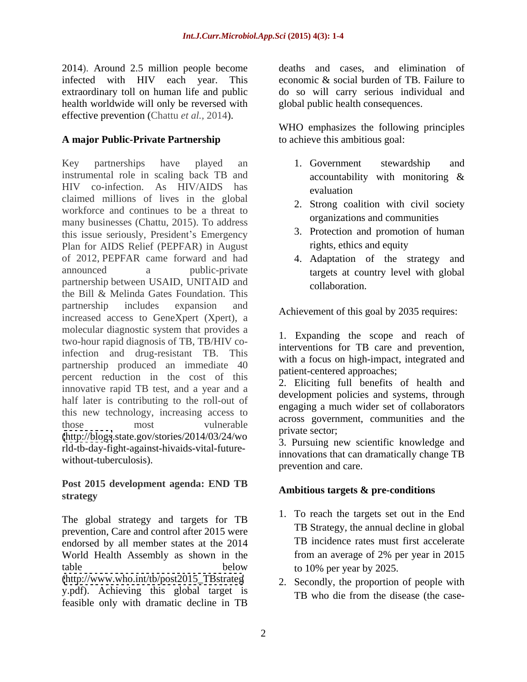2014). Around 2.5 million people become infected with HIV each year. This economic & social burden of TB. Failure to extraordinary toll on human life and public do so will carry serious individual and health worldwide will only be reversed with effective prevention (Chattu *et al.,* 2014).

# **A major Public-Private Partnership**

Key partnerships have played an 1. Government stewardship and instrumental role in scaling back TB and accountability with monitoring & HIV co-infection. As HIV/AIDS has claimed millions of lives in the global workforce and continues to be a threat to many businesses (Chattu, 2015). To address this issue seriously, President's Emergency Plan for AIDS Relief (PEPFAR) in August of 2012, PEPFAR came forward and had 4. Adaptation of the strategy and announced a public-private targets at country level with global partnership between USAID, UNITAID and collaboration. the Bill & Melinda Gates Foundation. This partnership includes expansion and a chiesement of this seed by 2025 required. increased access to GeneXpert (Xpert), a molecular diagnostic system that provides a two-hour rapid diagnosis of TB, TB/HIV coinfection and drug-resistant TB. This partnership produced an immediate 40 percent reduction in the cost of this innovative rapid TB test, and a year and a half later is contributing to the roll-out of this new technology, increasing access to those most vulnerable across government, communities and the [\(http://blogs](http://blogs).state.gov/stories/2014/03/24/wo rld-tb-day-fight-against-hivaids-vital-future without-tuberculosis).

## **Post 2015 development agenda: END TB** strategy **strategy** and the strategy **strategy** and the strategy **strategy** and the strategy **strategy** and the strategy **strategy** and the strategy **strategy** and the strategy **strategy** and the strategy **strategy** and th

The global strategy and targets for TB prevention, Care and control after 2015 were endorsed by all member states at the 2014 TB incidence rates must first accelerate<br>World Health Assembly as shown in the from an average of 2% per year in 2015 World Health Assembly as shown in the table below to 10% per year by 2025. [\(http://www.who.int/tb/post2015\\_TBstrateg](http://www.who.int/tb/post2015_TBstrateg)

y.pdf). Achieving this global target is<br>TB who die from the disease (the casefeasible only with dramatic decline in TB

deaths and cases, and elimination of global public health consequences.

WHO emphasizes the following principles to achieve this ambitious goal:

- 1. Government stewardship and accountability with monitoring & evaluation **example**
- 2. Strong coalition with civil society organizations and communities
- 3. Protection and promotion of human rights, ethics and equity
- collaboration.

Achievement of this goal by 2035 requires:

1. Expanding the scope and reach of interventions for TB care and prevention, with a focus on high-impact, integrated and patient-centered approaches;

2. Eliciting full benefits of health and development policies and systems, through engaging a much wider set of collaborators across government, communities and the private sector;

3. Pursuing new scientific knowledge and innovations that can dramatically change TB prevention and care.

# **Ambitious targets & pre-conditions**

- 1. To reach the targets set out in the End TB Strategy, the annual decline in global TB incidence rates must first accelerate from an average of 2% per year in 2015 to 10% per year by 2025.
- 2. Secondly, the proportion of people with TB who die from the disease (the case-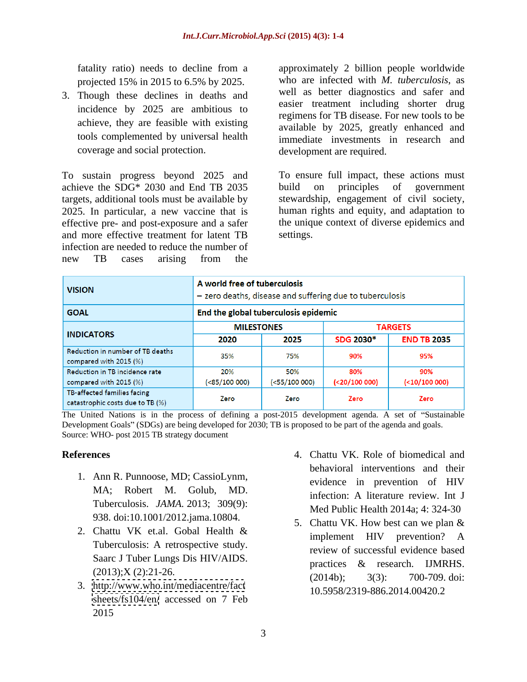projected 15% in 2015 to 6.5% by 2025.

3. Though these declines in deaths and incidence by 2025 are ambitious to achieve, they are feasible with existing tools complemented by universal health coverage and social protection.

achieve the SDG\* 2030 and End TB 2035 build on principles of government effective pre- and post-exposure and a safer and more effective treatment for latent TB infection are needed to reduce the number of new TB cases arising from the

fatality ratio) needs to decline from a approximately 2 billion people worldwide who are infected with *M. tuberculosis*, as well as better diagnostics and safer and easier treatment including shorter drug regimens for TB disease. For new tools to be available by 2025, greatly enhanced and immediate investments in research and development are required.

To sustain progress beyond 2025 and To ensure full impact, these actions must targets, additional tools must be available by stewardship, engagement of civil society, 2025. In particular, a new vaccine that is human rights and equity, and adaptation to build on principles of government the unique context of diverse epidemics and settings.

| <b>VISION</b>                                                   | A world free of tuberculosis<br>- zero deaths, disease and suffering due to tuberculosis |               |                  |                    |
|-----------------------------------------------------------------|------------------------------------------------------------------------------------------|---------------|------------------|--------------------|
| <b>GOAL</b>                                                     | End the global tuberculosis epidemic                                                     |               |                  |                    |
| <b>INDICATORS</b>                                               | <b>MILESTONES</b>                                                                        |               | <b>TARGETS</b>   |                    |
|                                                                 | 2020                                                                                     | 2025          | <b>SDG 2030*</b> | <b>END TB 2035</b> |
| Reduction in number of TB deaths<br>compared with 2015 (%)      | 35%                                                                                      | 75%           | 90%              | 95%                |
| Reduction in TB incidence rate                                  | 20%                                                                                      | 50%           | 80%              | 90%                |
| compared with 2015 (%)                                          | (<85/100 000)                                                                            | (<55/100 000) | $(20/100000)$    | $(10/100000)$      |
| TB-affected families facing<br>catastrophic costs due to TB (%) | Zero                                                                                     | Zero          | Zero             | Zero               |

The United Nations is in the process of defining a post-2015 development agenda. A set of "Sustainable" Development Goals" (SDGs) are being developed for 2030; TB is proposed to be part of the agenda and goals. Source: WHO- post 2015 TB strategy document

- Tuberculosis. *JAMA.* 2013; 309(9): 938. doi:10.1001/2012.jama.10804.
- Tuberculosis: A retrospective study.
- <sheets/fs104/en/> accessed on 7 Feb 2015
- **References** 4. Chattu VK. Role of biomedical and 1. Ann R. Punnoose, MD; CassioLynm, evidence in prevention of HIV MA; Robert M. Golub, MD. The infection: A literature review. Int J behavioral interventions and their evidence in prevention of HIV infection: A literature review. Int J Med Public Health 2014a; 4: 324-30
	- 2. Chattu VK et.al. Gobal Health  $\&$  implement  $H_1$  revealing  $\wedge$ Saarc J Tuber Lungs Dis HIV/AIDS.<br>
	practices & research. IJMRHS.  $(2013);$ X $(2):$ 21-26.<br> $(2014)$ ;  $(2014)$ ;  $(2014)$ ;  $(2013)$ ;  $(2013)$ ;  $(2013)$ ;  $(2013)$ ;  $(2013)$ ;  $(2013)$ ;  $(2014)$ ;  $(2014)$ ;  $(2014)$ ;  $(2014)$ ;  $(2014)$ ;  $(2014)$ ;  $(2014)$ ;  $(2014)$ ;  $(2014)$ ;  $(2014)$ ;  $(2014)$ ; (2013),  $\alpha$  (2):21-20.<br>3. <http://www.who.int/mediacentre/fact> (2014b); 3(3): 700-709. doi: 5. Chattu VK. How best can we plan & implement HIV prevention? A review of successful evidence based practices & research. IJMRHS. (2014b); 3(3): 700-709. doi: 10.5958/2319-886.2014.00420.2